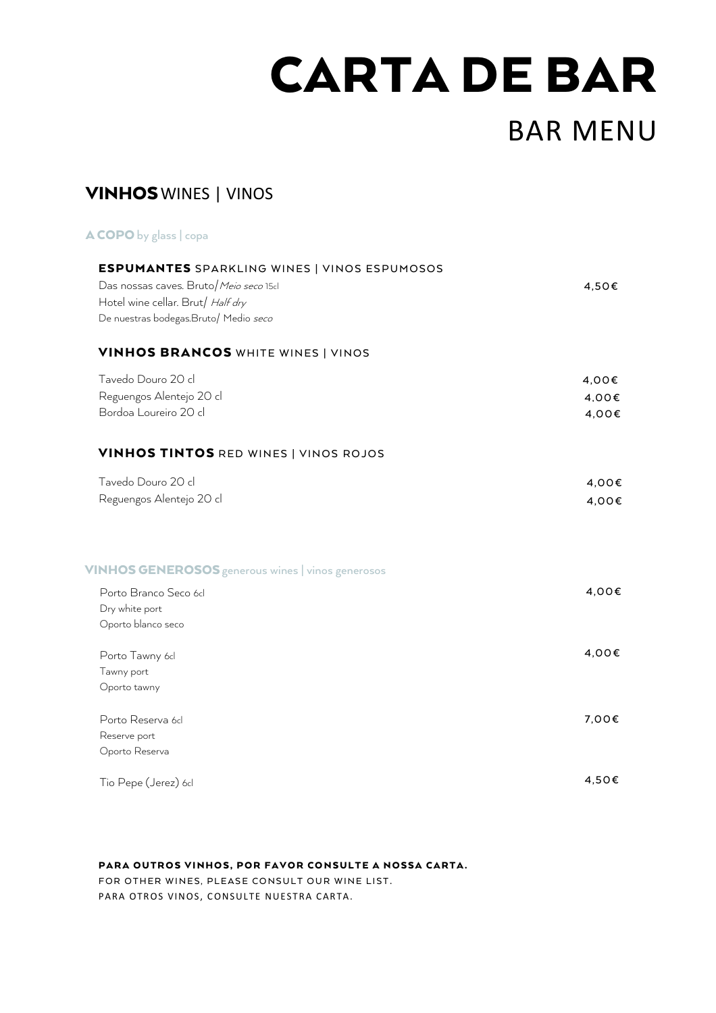# CARTA DE BAR

## BAR MENU

## VINHOSWINES | VINOS

| A COPO by glass   copa                                                                                                                                                      |                         |
|-----------------------------------------------------------------------------------------------------------------------------------------------------------------------------|-------------------------|
| <b>ESPUMANTES</b> SPARKLING WINES   VINOS ESPUMOSOS<br>Das nossas caves. Bruto/Meio seco 15cl<br>Hotel wine cellar. Brut/ Half dry<br>De nuestras bodegas.Bruto/ Medio seco | 4,50€                   |
| <b>VINHOS BRANCOS WHITE WINES   VINOS</b>                                                                                                                                   |                         |
| Tavedo Douro 20 cl<br>Reguengos Alentejo 20 cl<br>Bordoa Loureiro 20 cl                                                                                                     | 4,00€<br>4.00€<br>4,00€ |
| <b>VINHOS TINTOS RED WINES   VINOS ROJOS</b>                                                                                                                                |                         |
| Tavedo Douro 20 cl<br>Reguengos Alentejo 20 cl                                                                                                                              | 4,00€<br>4,00€          |
| VINHOS GENEROSOS generous wines   vinos generosos                                                                                                                           |                         |
| Porto Branco Seco 6cl<br>Dry white port<br>Oporto blanco seco                                                                                                               | 4,00€                   |
| Porto Tawny 6cl<br>Tawny port<br>Oporto tawny                                                                                                                               | 4,00€                   |
| Porto Reserva 6d<br>Reserve port<br>Oporto Reserva                                                                                                                          | 7,00€                   |
| Tio Pepe (Jerez) 6cl                                                                                                                                                        | 4,50€                   |

#### PARA OUTROS VINHOS, POR FAVOR CONSULTE A NOSSA CARTA.

FOR OTHER WINES, PLEASE CONSULT OUR WINE LIST. PARA OTROS VINOS, CONSULTE NUESTRA CARTA.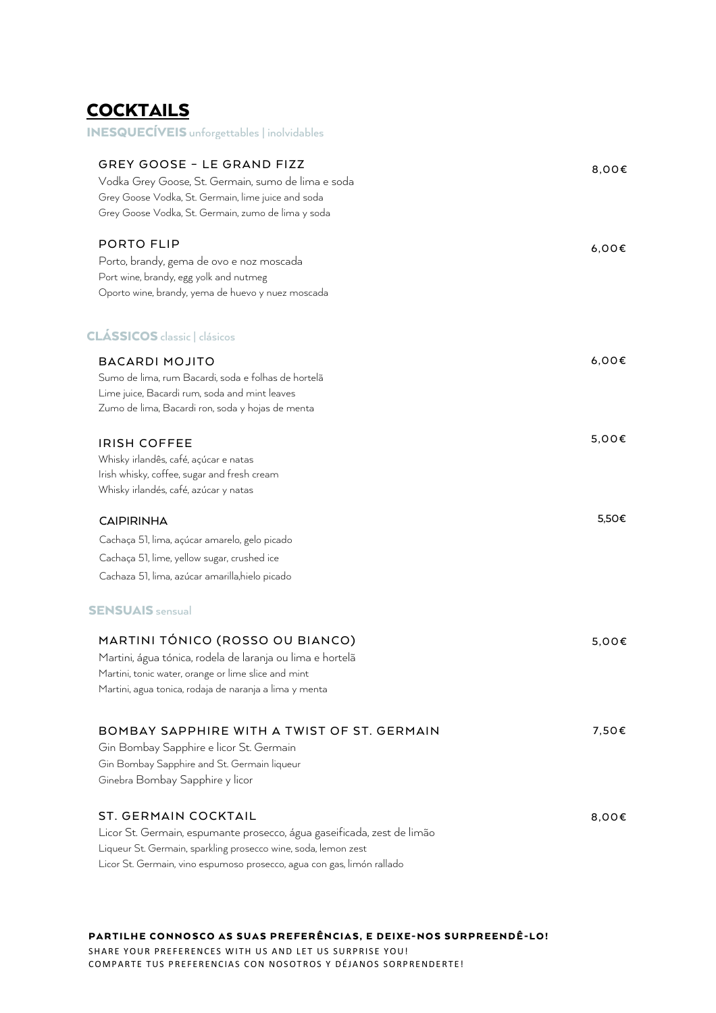## **COCKTAILS** INESQUECÍVEIS unforgettables | inolvidables

| <b>GREY GOOSE - LE GRAND FIZZ</b><br>Vodka Grey Goose, St. Germain, sumo de lima e soda<br>Grey Goose Vodka, St. Germain, lime juice and soda<br>Grey Goose Vodka, St. Germain, zumo de lima y soda                                               | 8,00€ |
|---------------------------------------------------------------------------------------------------------------------------------------------------------------------------------------------------------------------------------------------------|-------|
| <b>PORTO FLIP</b><br>Porto, brandy, gema de ovo e noz moscada<br>Port wine, brandy, egg yolk and nutmeg<br>Oporto wine, brandy, yema de huevo y nuez moscada                                                                                      | 6,00€ |
| <b>CLÁSSICOS</b> classic   clásicos                                                                                                                                                                                                               |       |
| <b>BACARDI MOJITO</b><br>Sumo de lima, rum Bacardi, soda e folhas de hortelã<br>Lime juice, Bacardi rum, soda and mint leaves<br>Zumo de lima, Bacardi ron, soda y hojas de menta                                                                 | 6,00€ |
| <b>IRISH COFFEE</b><br>Whisky irlandês, café, açúcar e natas<br>Irish whisky, coffee, sugar and fresh cream<br>Whisky irlandés, café, azúcar y natas                                                                                              | 5,00€ |
| <b>CAIPIRINHA</b>                                                                                                                                                                                                                                 | 5,50€ |
| Cachaça 51, lima, açúcar amarelo, gelo picado                                                                                                                                                                                                     |       |
| Cachaça 51, lime, yellow sugar, crushed ice<br>Cachaza 51, lima, azúcar amarilla,hielo picado                                                                                                                                                     |       |
| <b>SENSUAIS</b> sensual                                                                                                                                                                                                                           |       |
| MARTINI TÓNICO (ROSSO OU BIANCO)<br>Martini, água tónica, rodela de laranja ou lima e hortelã<br>Martini, tonic water, orange or lime slice and mint<br>Martini, agua tonica, rodaja de naranja a lima y menta                                    | 5,00€ |
| BOMBAY SAPPHIRE WITH A TWIST OF ST. GERMAIN<br>Gin Bombay Sapphire e licor St. Germain<br>Gin Bombay Sapphire and St. Germain liqueur<br>Ginebra Bombay Sapphire y licor                                                                          | 7,50€ |
| <b>ST. GERMAIN COCKTAIL</b><br>Licor St. Germain, espumante prosecco, água gaseificada, zest de limão<br>Liqueur St. Germain, sparkling prosecco wine, soda, lemon zest<br>Licor St. Germain, vino espumoso prosecco, agua con gas, limón rallado | 8,00€ |

PARTILHE CONNOSCO AS SUAS PREFERÊNCIAS, E DEIXE-NOS SURPREENDÊ-LO! SHARE YOUR PREFERENCES WITH US AND LET US SURPRISE YOU!

COMPARTE TUS PREFERENCIAS CON NOSOTROS Y DÉJANOS SORPRENDERTE!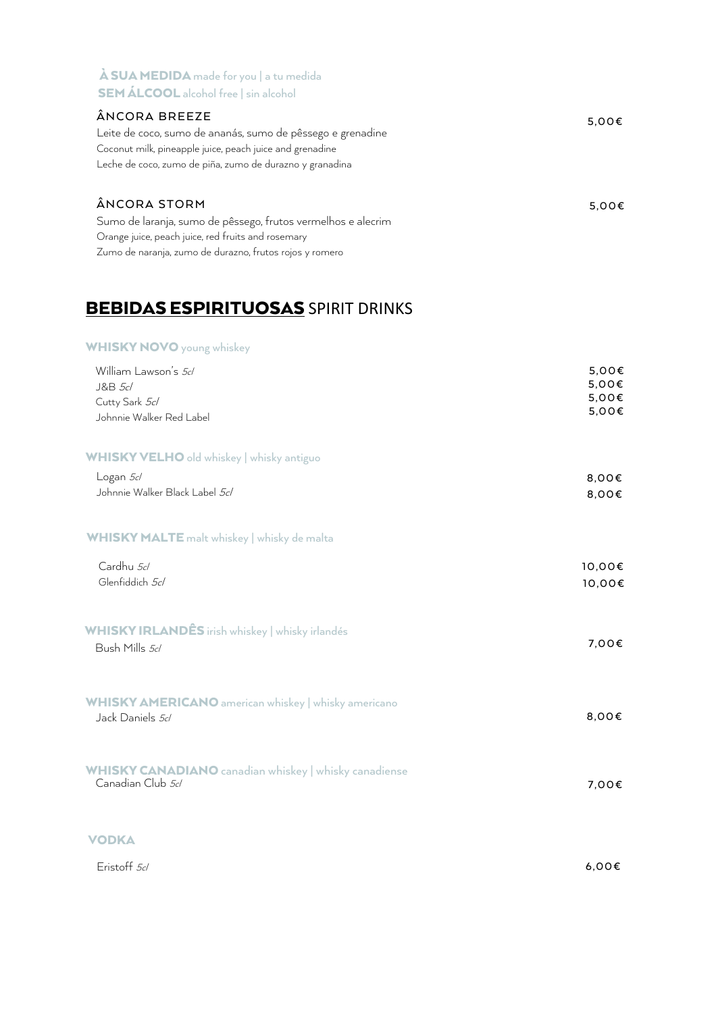| <b>À SUA MEDIDA</b> made for you   a tu medida<br><b>SEM ÁLCOOL</b> alcohol free   sin alcohol                                                                                                      |                 |
|-----------------------------------------------------------------------------------------------------------------------------------------------------------------------------------------------------|-----------------|
| ÂNCORA BREEZE<br>Leite de coco, sumo de ananás, sumo de pêssego e grenadine<br>Coconut milk, pineapple juice, peach juice and grenadine<br>Leche de coco, zumo de piña, zumo de durazno y granadina | $5.00 \epsilon$ |
| ÂNCORA STORM<br>Sumo de laranja, sumo de pêssego, frutos vermelhos e alecrim<br>Orange juice, peach juice, red fruits and rosemary<br>Zumo de naranja, zumo de durazno, frutos rojos y romero       | 5.00E           |

## **BEBIDAS ESPIRITUOSAS** SPIRIT DRINKS

#### WHISKY NOVO young whiskey

| William Lawson's 5cl<br>J&B 5cl<br>Cutty Sark 5cl<br>Johnnie Walker Red Label            | 5,00€<br>5,00€<br>5,00€<br>5,00€ |
|------------------------------------------------------------------------------------------|----------------------------------|
| WHISKY VELHO old whiskey   whisky antiguo<br>Logan 5cl<br>Johnnie Walker Black Label 5cl | 8,00€<br>8,00€                   |
| <b>WHISKY MALTE</b> malt whiskey   whisky de malta<br>Cardhu 5cl<br>Glenfiddich 5cl      | 10,00€<br>10,00€                 |
| <b>WHISKY IRLANDÊS</b> irish whiskey   whisky irlandés<br>Bush Mills 5cl                 | 7,00€                            |
| <b>WHISKY AMERICANO</b> american whiskey   whisky americano<br>Jack Daniels 5cl          | 8,00€                            |
| <b>WHISKY CANADIANO</b> canadian whiskey   whisky canadiense<br>Canadian Club 5cl        | 7,00€                            |
| <b>VODKA</b><br>Eristoff 5cl                                                             | 6,00E                            |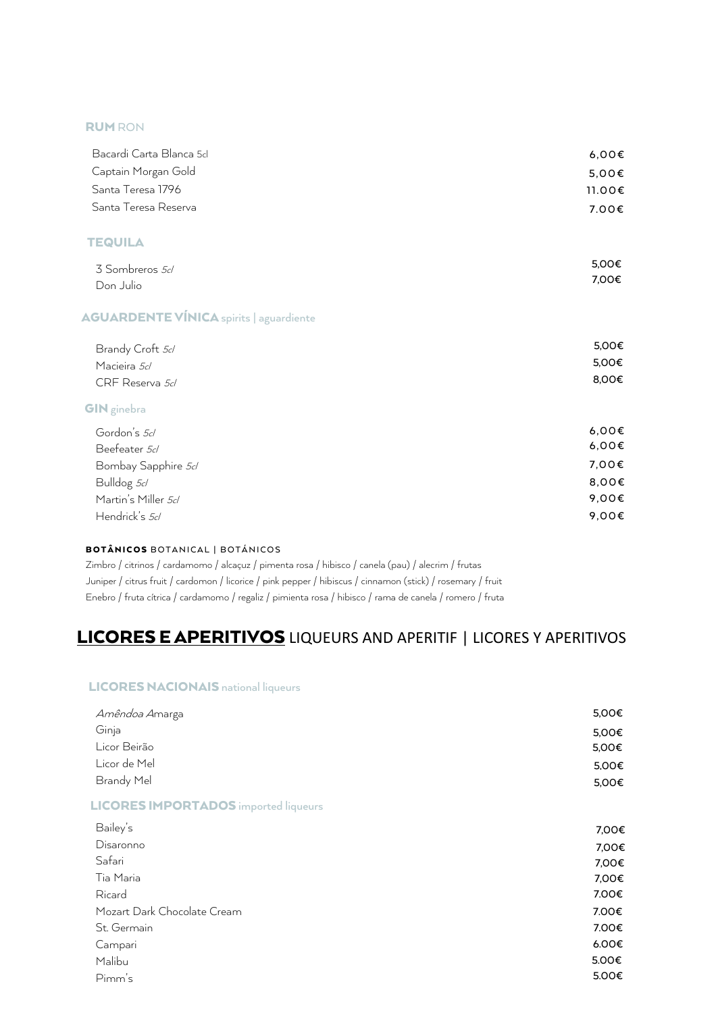#### RUM RON

| Bacardi Carta Blanca 5cl                       | 6,00€  |
|------------------------------------------------|--------|
| Captain Morgan Gold                            | 5,00€  |
| Santa Teresa 1796                              | 11.00€ |
| Santa Teresa Reserva                           | 7.00€  |
| <b>TEQUILA</b>                                 |        |
| 3 Sombreros 5d                                 | 5,00€  |
| Don Julio                                      | 7,00€  |
| <b>AGUARDENTE VÍNICA</b> spirits   aguardiente |        |
| Brandy Croft 5cl                               | 5,00€  |
| Macieira 5cl                                   | 5,00€  |
| CRF Reserva 5d                                 | 8,00€  |
| <b>GIN</b> ginebra                             |        |
| Gordon's 5cl                                   | 6,00€  |
| Beefeater 5cl                                  | 6,00€  |
| Bombay Sapphire 5cl                            | 7,00€  |
| Bulldog 5cl                                    | 8,00€  |
| Martin's Miller 5d                             | 9,00€  |
| Hendrick's 5cl                                 | 9,00€  |

#### BOTÂNICOS BOTANICAL | BOTÁNICOS

Zimbro / citrinos / cardamomo / alcaçuz / pimenta rosa / hibisco / canela (pau) / alecrim / frutas Juniper / citrus fruit / cardomon / licorice / pink pepper / hibiscus / cinnamon (stick) / rosemary / fruit Enebro / fruta cítrica / cardamomo / regaliz / pimienta rosa / hibisco / rama de canela / romero / fruta

## LICORES E APERITIVOS LIQUEURS AND APERITIF | LICORES Y APERITIVOS

#### LICORES NACIONAIS national liqueurs

| Amêndoa Amarga                              | 5,00€ |
|---------------------------------------------|-------|
| Ginja                                       | 5,00€ |
| Licor Beirão                                | 5,00€ |
| Licor de Mel                                | 5,00€ |
| Brandy Mel                                  | 5,00€ |
| <b>LICORES IMPORTADOS</b> imported liqueurs |       |
| Bailey's                                    | 7,00€ |
| Disaronno                                   | 7,00€ |
| Safari                                      | 7,00€ |
| Tia Maria                                   | 7,00€ |
| Ricard                                      | 7.00€ |
| Mozart Dark Chocolate Cream                 | 7.00€ |
| St. Germain                                 | 7.00€ |
| Campari                                     | 6.00€ |
| Malibu                                      | 5.00€ |
| Pimm's                                      | 5.00€ |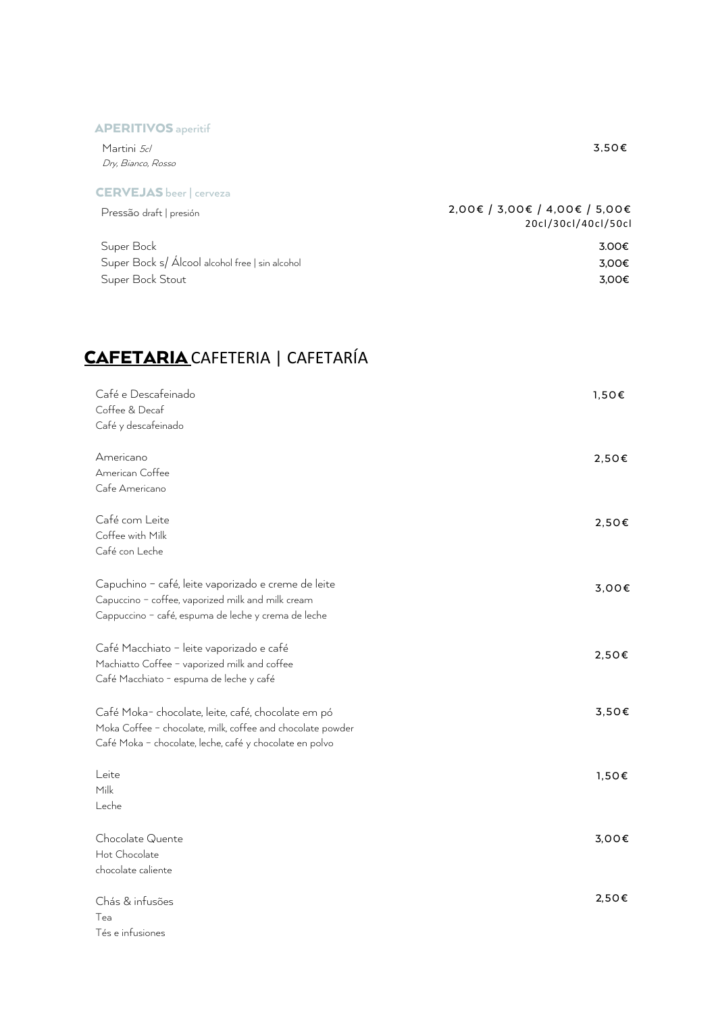#### APERITIVOS aperitif

| Martini <i>5d</i>              | 3.50€                         |
|--------------------------------|-------------------------------|
| Dry, Bianco, Rosso             |                               |
| <b>CERVEJAS</b> beer   cerveza |                               |
| Pressão draft I presión        | 2,00€ / 3,00€ / 4,00€ / 5,00€ |

| LI EPPA ORIGIC DI EPIONI                        | 20cl/30cl/40cl/50cl |
|-------------------------------------------------|---------------------|
| Super Bock                                      | 3.00€               |
| Super Bock s/ Álcool alcohol free   sin alcohol | 3.00€               |
| Super Bock Stout                                | 3.00€               |

## CAFETARIA CAFETERIA | CAFETARÍA

| Café e Descafeinado                                        | 1,50€ |
|------------------------------------------------------------|-------|
| Coffee & Decaf                                             |       |
| Café y descafeinado                                        |       |
| Americano                                                  | 2,50€ |
| American Coffee                                            |       |
| Cafe Americano                                             |       |
| Café com Leite                                             | 2,50€ |
| Coffee with Milk                                           |       |
| Café con Leche                                             |       |
| Capuchino - café, leite vaporizado e creme de leite        | 3,00€ |
| Capuccino - coffee, vaporized milk and milk cream          |       |
| Cappuccino - café, espuma de leche y crema de leche        |       |
| Café Macchiato - leite vaporizado e café                   |       |
| Machiatto Coffee - vaporized milk and coffee               | 2,50€ |
| Café Macchiato - espuma de leche y café                    |       |
| Café Moka-chocolate, leite, café, chocolate em pó          | 3,50€ |
| Moka Coffee - chocolate, milk, coffee and chocolate powder |       |
| Café Moka - chocolate, leche, café y chocolate en polvo    |       |
| Leite                                                      | 1,50€ |
| Milk                                                       |       |
| Leche                                                      |       |
| Chocolate Quente                                           | 3,00€ |
| Hot Chocolate                                              |       |
| chocolate caliente                                         |       |
| Chás & infusões                                            | 2,50€ |
| Tea                                                        |       |
|                                                            |       |

Tés e infusiones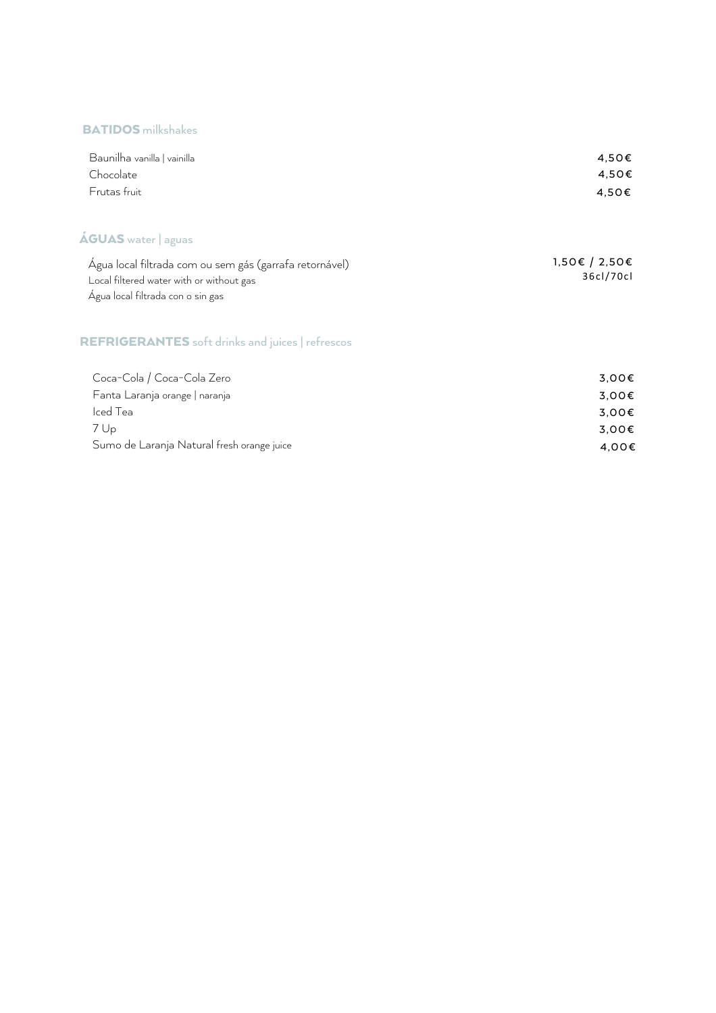#### BATIDOS milkshakes

Sumo de Laranja Natural fresh orange juice

| Baunilha vanilla   vainilla<br>Chocolate<br>Frutas fruit                                                                                 | 4,50€<br>4,50€<br>4,50€    |
|------------------------------------------------------------------------------------------------------------------------------------------|----------------------------|
| <b>ÁGUAS</b> water   aguas                                                                                                               |                            |
| Água local filtrada com ou sem gás (garrafa retornável)<br>Local filtered water with or without gas<br>Água local filtrada con o sin gas | 1,50€ / 2,50€<br>36cl/70cl |
| <b>REFRIGERANTES</b> soft drinks and juices   refrescos                                                                                  |                            |
| Coca-Cola / Coca-Cola Zero                                                                                                               | 3,00€                      |
| Fanta Laranja orange   naranja                                                                                                           | 3,00€                      |
| Iced Tea                                                                                                                                 | 3,00€                      |
| 7 Up                                                                                                                                     | 3,00€                      |

4 ,00€